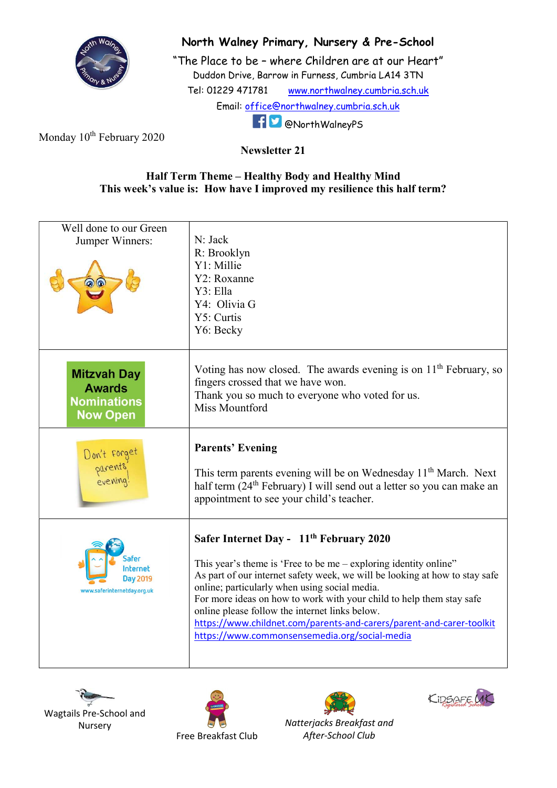

## North Walney Primary, Nursery & Pre-School

"The Place to be – where Children are at our Heart" Duddon Drive, Barrow in Furness, Cumbria LA14 3TN Tel: 01229 471781 www.northwalney.cumbria.sch.uk Email: office@northwalney.cumbria.sch.uk @NorthWalneyPS

Monday 10<sup>th</sup> February 2020

## Newsletter 21

## Half Term Theme – Healthy Body and Healthy Mind This week's value is: How have I improved my resilience this half term?

| Well done to our Green<br>Jumper Winners:                                    | N: Jack<br>R: Brooklyn<br>Y1: Millie<br>Y2: Roxanne<br>Y3: Ella<br>Y4: Olivia G<br>Y5: Curtis<br>Y6: Becky                                                                                                                                                                                                                                                                                                                                                                                                 |
|------------------------------------------------------------------------------|------------------------------------------------------------------------------------------------------------------------------------------------------------------------------------------------------------------------------------------------------------------------------------------------------------------------------------------------------------------------------------------------------------------------------------------------------------------------------------------------------------|
| <b>Mitzvah Day</b><br><b>Awards</b><br><b>Nominations</b><br><b>Now Open</b> | Voting has now closed. The awards evening is on 11 <sup>th</sup> February, so<br>fingers crossed that we have won.<br>Thank you so much to everyone who voted for us.<br><b>Miss Mountford</b>                                                                                                                                                                                                                                                                                                             |
| Don't forget<br>parents<br>evening!                                          | <b>Parents' Evening</b><br>This term parents evening will be on Wednesday 11 <sup>th</sup> March. Next<br>half term (24 <sup>th</sup> February) I will send out a letter so you can make an<br>appointment to see your child's teacher.                                                                                                                                                                                                                                                                    |
| nternet<br>Day 2019<br>www.saferinternetday.org.uk                           | Safer Internet Day - 11 <sup>th</sup> February 2020<br>This year's theme is 'Free to be me - exploring identity online"<br>As part of our internet safety week, we will be looking at how to stay safe<br>online; particularly when using social media.<br>For more ideas on how to work with your child to help them stay safe<br>online please follow the internet links below.<br>https://www.childnet.com/parents-and-carers/parent-and-carer-toolkit<br>https://www.commonsensemedia.org/social-media |









Natterjacks Breakfast and After-School Club